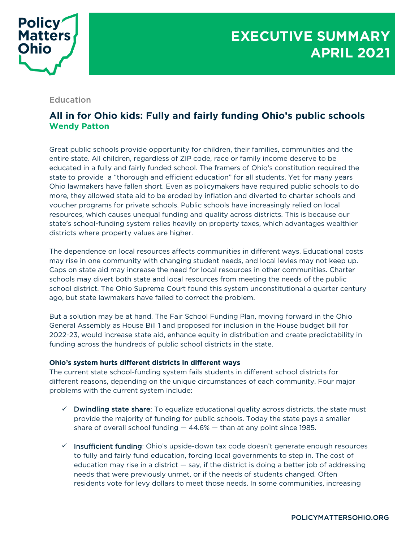

## Education

## **All in for Ohio kids: Fully and fairly funding Ohio's public schools Wendy Patton**

Great public schools provide opportunity for children, their families, communities and the entire state. All children, regardless of ZIP code, race or family income deserve to be educated in a fully and fairly funded school. The framers of Ohio's constitution required the state to provide a "thorough and efficient education" for all students. Yet for many years Ohio lawmakers have fallen short. Even as policymakers have required public schools to do more, they allowed state aid to be eroded by inflation and diverted to charter schools and voucher programs for private schools. Public schools have increasingly relied on local resources, which causes unequal funding and quality across districts. This is because our state's school-funding system relies heavily on property taxes, which advantages wealthier districts where property values are higher.

The dependence on local resources affects communities in different ways. Educational costs may rise in one community with changing student needs, and local levies may not keep up. Caps on state aid may increase the need for local resources in other communities. Charter schools may divert both state and local resources from meeting the needs of the public school district. The Ohio Supreme Court found this system unconstitutional a quarter century ago, but state lawmakers have failed to correct the problem.

But a solution may be at hand. The Fair School Funding Plan, moving forward in the Ohio General Assembly as House Bill 1 and proposed for inclusion in the House budget bill for 2022-23, would increase state aid, enhance equity in distribution and create predictability in funding across the hundreds of public school districts in the state.

## **Ohio's system hurts different districts in different ways**

The current state school-funding system fails students in different school districts for different reasons, depending on the unique circumstances of each community. Four major problems with the current system include:

- $\checkmark$  Dwindling state share: To equalize educational quality across districts, the state must provide the majority of funding for public schools. Today the state pays a smaller share of overall school funding  $-44.6%$   $-$  than at any point since 1985.
- $\checkmark$  Insufficient funding: Ohio's upside-down tax code doesn't generate enough resources to fully and fairly fund education, forcing local governments to step in. The cost of education may rise in a district — say, if the district is doing a better job of addressing needs that were previously unmet, or if the needs of students changed. Often residents vote for levy dollars to meet those needs. In some communities, increasing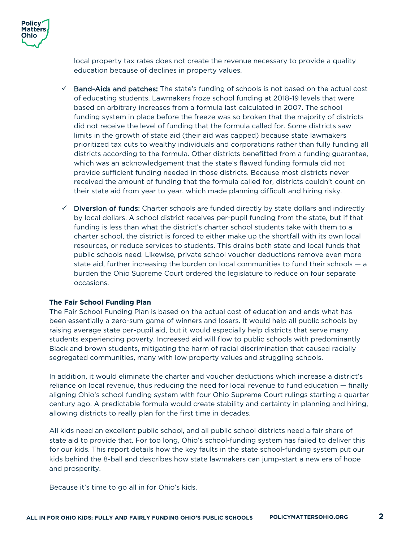

local property tax rates does not create the revenue necessary to provide a quality education because of declines in property values.

- $\checkmark$  Band-Aids and patches: The state's funding of schools is not based on the actual cost of educating students. Lawmakers froze school funding at 2018-19 levels that were based on arbitrary increases from a formula last calculated in 2007. The school funding system in place before the freeze was so broken that the majority of districts did not receive the level of funding that the formula called for. Some districts saw limits in the growth of state aid (their aid was capped) because state lawmakers prioritized tax cuts to wealthy individuals and corporations rather than fully funding all districts according to the formula. Other districts benefitted from a funding guarantee, which was an acknowledgement that the state's flawed funding formula did not provide sufficient funding needed in those districts. Because most districts never received the amount of funding that the formula called for, districts couldn't count on their state aid from year to year, which made planning difficult and hiring risky.
- $\checkmark$  Diversion of funds: Charter schools are funded directly by state dollars and indirectly by local dollars. A school district receives per-pupil funding from the state, but if that funding is less than what the district's charter school students take with them to a charter school, the district is forced to either make up the shortfall with its own local resources, or reduce services to students. This drains both state and local funds that public schools need. Likewise, private school voucher deductions remove even more state aid, further increasing the burden on local communities to fund their schools — a burden the Ohio Supreme Court ordered the legislature to reduce on four separate occasions.

## **The Fair School Funding Plan**

The Fair School Funding Plan is based on the actual cost of education and ends what has been essentially a zero-sum game of winners and losers. It would help all public schools by raising average state per-pupil aid, but it would especially help districts that serve many students experiencing poverty. Increased aid will flow to public schools with predominantly Black and brown students, mitigating the harm of racial discrimination that caused racially segregated communities, many with low property values and struggling schools.

In addition, it would eliminate the charter and voucher deductions which increase a district's reliance on local revenue, thus reducing the need for local revenue to fund education — finally aligning Ohio's school funding system with four Ohio Supreme Court rulings starting a quarter century ago. A predictable formula would create stability and certainty in planning and hiring, allowing districts to really plan for the first time in decades.

All kids need an excellent public school, and all public school districts need a fair share of state aid to provide that. For too long, Ohio's school-funding system has failed to deliver this for our kids. This report details how the key faults in the state school-funding system put our kids behind the 8-ball and describes how state lawmakers can jump-start a new era of hope and prosperity.

Because it's time to go all in for Ohio's kids.